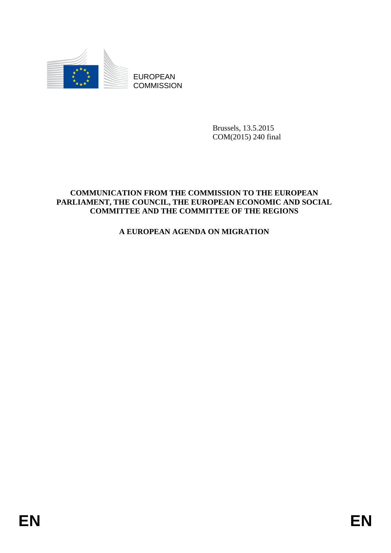

**COMMISSION** 

Brussels, 13.5.2015 COM(2015) 240 final

# EUROPEAN<br>
EUROPEAN<br>
ENGANGEREEM<br>
COMMUNICATION FROM THE COMMUSSION TO THE EUROPEAN<br>
COMMUNICATION FROM THE COMMUSSION TO THE READ FROM THE CONDITIES AND THE COMMUTTEE OF THE REGIONS<br>
A FUROPEAN AGENDA ON MIGRATION<br>
A FUROP **COMMUNICATION FROM THE COMMISSION TO THE EUROPEAN PARLIAMENT, THE COUNCIL, THE EUROPEAN ECONOMIC AND SOCIAL COMMITTEE AND THE COMMITTEE OF THE REGIONS**

# **A EUROPEAN AGENDA ON MIGRATION**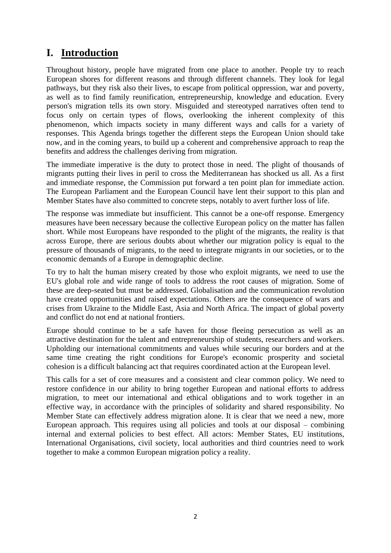# **I. Introduction**

Throughout history, people have migrated from one place to another. People try to reach European shores for different reasons and through different channels. They look for legal pathways, but they risk also their lives, to escape from political oppression, war and poverty, as well as to find family reunification, entrepreneurship, knowledge and education. Every person's migration tells its own story. Misguided and stereotyped narratives often tend to focus only on certain types of flows, overlooking the inherent complexity of this phenomenon, which impacts society in many different ways and calls for a variety of responses. This Agenda brings together the different steps the European Union should take now, and in the coming years, to build up a coherent and comprehensive approach to reap the benefits and address the challenges deriving from migration.

The immediate imperative is the duty to protect those in need. The plight of thousands of migrants putting their lives in peril to cross the Mediterranean has shocked us all. As a first and immediate response, the Commission put forward a ten point plan for immediate action. The European Parliament and the European Council have lent their support to this plan and Member States have also committed to concrete steps, notably to avert further loss of life.

The response was immediate but insufficient. This cannot be a one-off response. Emergency measures have been necessary because the collective European policy on the matter has fallen short. While most Europeans have responded to the plight of the migrants, the reality is that across Europe, there are serious doubts about whether our migration policy is equal to the pressure of thousands of migrants, to the need to integrate migrants in our societies, or to the economic demands of a Europe in demographic decline.

To try to halt the human misery created by those who exploit migrants, we need to use the EU's global role and wide range of tools to address the root causes of migration. Some of these are deep-seated but must be addressed. Globalisation and the communication revolution have created opportunities and raised expectations. Others are the consequence of wars and crises from Ukraine to the Middle East, Asia and North Africa. The impact of global poverty and conflict do not end at national frontiers.

Europe should continue to be a safe haven for those fleeing persecution as well as an attractive destination for the talent and entrepreneurship of students, researchers and workers. Upholding our international commitments and values while securing our borders and at the same time creating the right conditions for Europe's economic prosperity and societal cohesion is a difficult balancing act that requires coordinated action at the European level.

This calls for a set of core measures and a consistent and clear common policy. We need to restore confidence in our ability to bring together European and national efforts to address migration, to meet our international and ethical obligations and to work together in an effective way, in accordance with the principles of solidarity and shared responsibility. No Member State can effectively address migration alone. It is clear that we need a new, more European approach. This requires using all policies and tools at our disposal – combining internal and external policies to best effect. All actors: Member States, EU institutions, International Organisations, civil society, local authorities and third countries need to work together to make a common European migration policy a reality.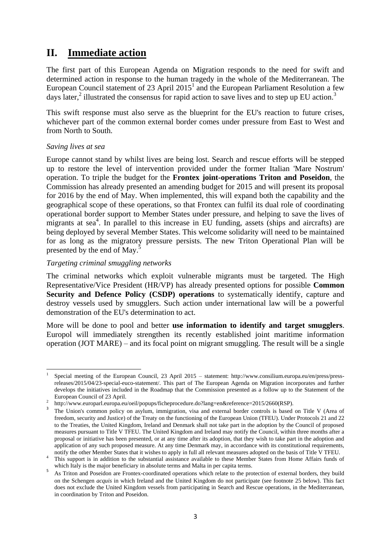# **II. Immediate action**

The first part of this European Agenda on Migration responds to the need for swift and determined action in response to the human tragedy in the whole of the Mediterranean. The European Council statement of 23 April  $2015<sup>1</sup>$  and the European Parliament Resolution a few days later,<sup>2</sup> illustrated the consensus for rapid action to save lives and to step up EU action.<sup>3</sup>

This swift response must also serve as the blueprint for the EU's reaction to future crises, whichever part of the common external border comes under pressure from East to West and from North to South.

### *Saving lives at sea*

Europe cannot stand by whilst lives are being lost. Search and rescue efforts will be stepped up to restore the level of intervention provided under the former Italian 'Mare Nostrum' operation. To triple the budget for the **Frontex joint-operations Triton and Poseidon**, the Commission has already presented an amending budget for 2015 and will present its proposal for 2016 by the end of May. When implemented, this will expand both the capability and the geographical scope of these operations, so that Frontex can fulfil its dual role of coordinating operational border support to Member States under pressure, and helping to save the lives of migrants at sea<sup>4</sup>. In parallel to this increase in EU funding, assets (ships and aircrafts) are being deployed by several Member States. This welcome solidarity will need to be maintained for as long as the migratory pressure persists. The new Triton Operational Plan will be presented by the end of May.<sup>5</sup>

### *Targeting criminal smuggling networks*

The criminal networks which exploit vulnerable migrants must be targeted. The High Representative/Vice President (HR/VP) has already presented options for possible **Common Security and Defence Policy (CSDP) operations** to systematically identify, capture and destroy vessels used by smugglers. Such action under international law will be a powerful demonstration of the EU's determination to act.

More will be done to pool and better **use information to identify and target smugglers**. Europol will immediately strengthen its recently established joint maritime information operation (JOT MARE) – and its focal point on migrant smuggling. The result will be a single

**<sup>.</sup>** 1 Special meeting of the European Council, 23 April 2015 – statement: http://www.consilium.europa.eu/en/press/pressreleases/2015/04/23-special-euco-statement/. This part of The European Agenda on Migration incorporates and further develops the initiatives included in the Roadmap that the Commission presented as a follow up to the Statement of the European Council of 23 April.

<sup>2</sup> http://www.europarl.europa.eu/oeil/popups/ficheprocedure.do?lang=en&reference=2015/2660(RSP).

<sup>3</sup> The Union's common policy on asylum, immigration, visa and external border controls is based on Title V (Area of freedom, security and Justice) of the Treaty on the functioning of the European Union (TFEU). Under Protocols 21 and 22 to the Treaties, the United Kingdom, Ireland and Denmark shall not take part in the adoption by the Council of proposed measures pursuant to Title V TFEU. The United Kingdom and Ireland may notify the Council, within three months after a proposal or initiative has been presented, or at any time after its adoption, that they wish to take part in the adoption and application of any such proposed measure. At any time Denmark may, in accordance with its constitutional requirements, notify the other Member States that it wishes to apply in full all relevant measures adopted on the basis of Title V TFEU.

<sup>&</sup>lt;sup>4</sup> This support is in addition to the substantial assistance available to these Member States from Home Affairs funds of which Italy is the major beneficiary in absolute terms and Malta in per capita terms.

<sup>5</sup> As Triton and Poseidon are Frontex-coordinated operations which relate to the protection of external borders, they build on the Schengen *acquis* in which Ireland and the United Kingdom do not participate (see footnote 25 below). This fact does not exclude the United Kingdom vessels from participating in Search and Rescue operations, in the Mediterranean, in coordination by Triton and Poseidon.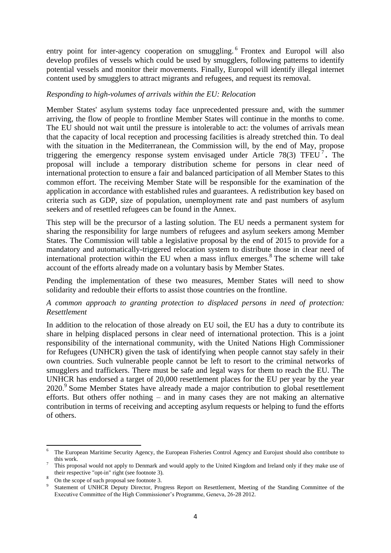entry point for inter-agency cooperation on smuggling.<sup>6</sup> Frontex and Europol will also develop profiles of vessels which could be used by smugglers, following patterns to identify potential vessels and monitor their movements. Finally, Europol will identify illegal internet content used by smugglers to attract migrants and refugees, and request its removal.

### *Responding to high-volumes of arrivals within the EU: Relocation*

Member States' asylum systems today face unprecedented pressure and, with the summer arriving, the flow of people to frontline Member States will continue in the months to come. The EU should not wait until the pressure is intolerable to act: the volumes of arrivals mean that the capacity of local reception and processing facilities is already stretched thin. To deal with the situation in the Mediterranean, the Commission will, by the end of May, propose triggering the emergency response system envisaged under Article 78(3) TFEU<sup>7</sup>. The proposal will include a temporary distribution scheme for persons in clear need of international protection to ensure a fair and balanced participation of all Member States to this common effort. The receiving Member State will be responsible for the examination of the application in accordance with established rules and guarantees. A redistribution key based on criteria such as GDP, size of population, unemployment rate and past numbers of asylum seekers and of resettled refugees can be found in the Annex.

This step will be the precursor of a lasting solution. The EU needs a permanent system for sharing the responsibility for large numbers of refugees and asylum seekers among Member States. The Commission will table a legislative proposal by the end of 2015 to provide for a mandatory and automatically-triggered relocation system to distribute those in clear need of international protection within the EU when a mass influx emerges.<sup>8</sup> The scheme will take account of the efforts already made on a voluntary basis by Member States.

Pending the implementation of these two measures, Member States will need to show solidarity and redouble their efforts to assist those countries on the frontline.

### *A common approach to granting protection to displaced persons in need of protection: Resettlement*

In addition to the relocation of those already on EU soil, the EU has a duty to contribute its share in helping displaced persons in clear need of international protection. This is a joint responsibility of the international community, with the United Nations High Commissioner for Refugees (UNHCR) given the task of identifying when people cannot stay safely in their own countries. Such vulnerable people cannot be left to resort to the criminal networks of smugglers and traffickers. There must be safe and legal ways for them to reach the EU. The UNHCR has endorsed a target of 20,000 resettlement places for the EU per year by the year 2020.<sup>9</sup> Some Member States have already made a major contribution to global resettlement efforts. But others offer nothing – and in many cases they are not making an alternative contribution in terms of receiving and accepting asylum requests or helping to fund the efforts of others.

<sup>6</sup> <sup>6</sup> The European Maritime Security Agency, the European Fisheries Control Agency and Eurojust should also contribute to this work.

<sup>7</sup> This proposal would not apply to Denmark and would apply to the United Kingdom and Ireland only if they make use of their respective "opt-in" right (see footnote 3).

<sup>8</sup> On the scope of such proposal see footnote 3.

<sup>9</sup> Statement of UNHCR Deputy Director, Progress Report on Resettlement, Meeting of the Standing Committee of the Executive Committee of the High Commissioner's Programme, Geneva, 26-28 2012.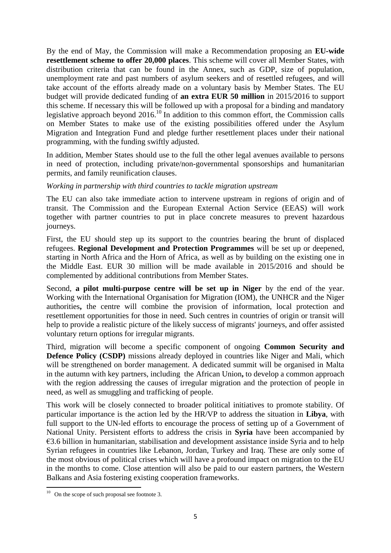By the end of May, the Commission will make a Recommendation proposing an **EU-wide resettlement scheme to offer 20,000 places**. This scheme will cover all Member States, with distribution criteria that can be found in the Annex, such as GDP, size of population, unemployment rate and past numbers of asylum seekers and of resettled refugees, and will take account of the efforts already made on a voluntary basis by Member States. The EU budget will provide dedicated funding of **an extra EUR 50 million** in 2015/2016 to support this scheme. If necessary this will be followed up with a proposal for a binding and mandatory legislative approach beyond  $2016$ <sup>10</sup> In addition to this common effort, the Commission calls on Member States to make use of the existing possibilities offered under the Asylum Migration and Integration Fund and pledge further resettlement places under their national programming, with the funding swiftly adjusted.

In addition, Member States should use to the full the other legal avenues available to persons in need of protection, including private/non-governmental sponsorships and humanitarian permits, and family reunification clauses.

### *Working in partnership with third countries to tackle migration upstream*

The EU can also take immediate action to intervene upstream in regions of origin and of transit. The Commission and the European External Action Service (EEAS) will work together with partner countries to put in place concrete measures to prevent hazardous journeys.

First, the EU should step up its support to the countries bearing the brunt of displaced refugees. **Regional Development and Protection Programmes** will be set up or deepened, starting in North Africa and the Horn of Africa, as well as by building on the existing one in the Middle East. EUR 30 million will be made available in 2015/2016 and should be complemented by additional contributions from Member States.

Second, **a pilot multi-purpose centre will be set up in Niger** by the end of the year. Working with the International Organisation for Migration (IOM), the UNHCR and the Niger authorities**,** the centre will combine the provision of information, local protection and resettlement opportunities for those in need. Such centres in countries of origin or transit will help to provide a realistic picture of the likely success of migrants' journeys, and offer assisted voluntary return options for irregular migrants.

Third, migration will become a specific component of ongoing **Common Security and Defence Policy (CSDP)** missions already deployed in countries like Niger and Mali, which will be strengthened on border management. A dedicated summit will be organised in Malta in the autumn with key partners, including the African Union**,** to develop a common approach with the region addressing the causes of irregular migration and the protection of people in need, as well as smuggling and trafficking of people.

This work will be closely connected to broader political initiatives to promote stability. Of particular importance is the action led by the HR/VP to address the situation in **Libya**, with full support to the UN-led efforts to encourage the process of setting up of a Government of National Unity. Persistent efforts to address the crisis in **Syria** have been accompanied by €3.6 billion in humanitarian, stabilisation and development assistance inside Syria and to help Syrian refugees in countries like Lebanon, Jordan, Turkey and Iraq. These are only some of the most obvious of political crises which will have a profound impact on migration to the EU in the months to come. Close attention will also be paid to our eastern partners, the Western Balkans and Asia fostering existing cooperation frameworks.

<sup>1</sup>  $10$  On the scope of such proposal see footnote 3.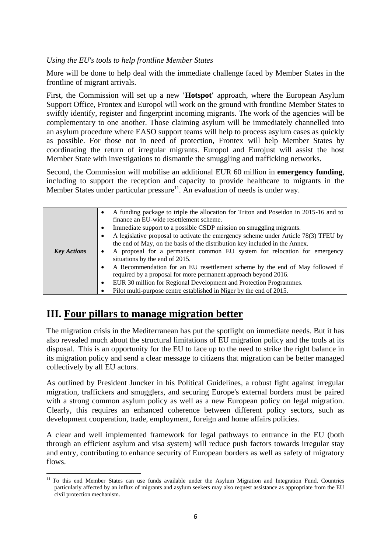### *Using the EU's tools to help frontline Member States*

More will be done to help deal with the immediate challenge faced by Member States in the frontline of migrant arrivals.

First, the Commission will set up a new **'Hotspot'** approach, where the European Asylum Support Office, Frontex and Europol will work on the ground with frontline Member States to swiftly identify, register and fingerprint incoming migrants. The work of the agencies will be complementary to one another. Those claiming asylum will be immediately channelled into an asylum procedure where EASO support teams will help to process asylum cases as quickly as possible. For those not in need of protection, Frontex will help Member States by coordinating the return of irregular migrants. Europol and Eurojust will assist the host Member State with investigations to dismantle the smuggling and trafficking networks.

Second, the Commission will mobilise an additional EUR 60 million in **emergency funding**, including to support the reception and capacity to provide healthcare to migrants in the Member States under particular pressure<sup>11</sup>. An evaluation of needs is under way.

| ٠<br>٠<br><b>Key Actions</b><br>$\bullet$<br>$\bullet$ | A funding package to triple the allocation for Triton and Poseidon in 2015-16 and to<br>finance an EU-wide resettlement scheme.<br>Immediate support to a possible CSDP mission on smuggling migrants.<br>A legislative proposal to activate the emergency scheme under Article 78(3) TFEU by<br>the end of May, on the basis of the distribution key included in the Annex.<br>A proposal for a permanent common EU system for relocation for emergency<br>situations by the end of 2015.<br>A Recommendation for an EU resettlement scheme by the end of May followed if<br>required by a proposal for more permanent approach beyond 2016.<br>EUR 30 million for Regional Development and Protection Programmes.<br>Pilot multi-purpose centre established in Niger by the end of 2015. |
|--------------------------------------------------------|--------------------------------------------------------------------------------------------------------------------------------------------------------------------------------------------------------------------------------------------------------------------------------------------------------------------------------------------------------------------------------------------------------------------------------------------------------------------------------------------------------------------------------------------------------------------------------------------------------------------------------------------------------------------------------------------------------------------------------------------------------------------------------------------|

# **III. Four pillars to manage migration better**

The migration crisis in the Mediterranean has put the spotlight on immediate needs. But it has also revealed much about the structural limitations of EU migration policy and the tools at its disposal. This is an opportunity for the EU to face up to the need to strike the right balance in its migration policy and send a clear message to citizens that migration can be better managed collectively by all EU actors.

As outlined by President Juncker in his Political Guidelines, a robust fight against irregular migration, traffickers and smugglers, and securing Europe's external borders must be paired with a strong common asylum policy as well as a new European policy on legal migration. Clearly, this requires an enhanced coherence between different policy sectors, such as development cooperation, trade, employment, foreign and home affairs policies.

A clear and well implemented framework for legal pathways to entrance in the EU (both through an efficient asylum and visa system) will reduce push factors towards irregular stay and entry, contributing to enhance security of European borders as well as safety of migratory flows.

**<sup>.</sup>** <sup>11</sup> To this end Member States can use funds available under the Asylum Migration and Integration Fund. Countries particularly affected by an influx of migrants and asylum seekers may also request assistance as appropriate from the EU civil protection mechanism.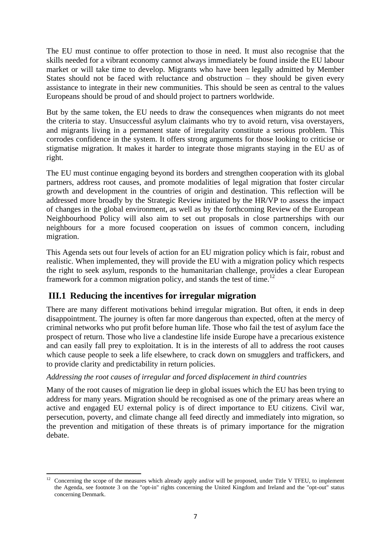The EU must continue to offer protection to those in need. It must also recognise that the skills needed for a vibrant economy cannot always immediately be found inside the EU labour market or will take time to develop. Migrants who have been legally admitted by Member States should not be faced with reluctance and obstruction – they should be given every assistance to integrate in their new communities. This should be seen as central to the values Europeans should be proud of and should project to partners worldwide.

But by the same token, the EU needs to draw the consequences when migrants do not meet the criteria to stay. Unsuccessful asylum claimants who try to avoid return, visa overstayers, and migrants living in a permanent state of irregularity constitute a serious problem. This corrodes confidence in the system. It offers strong arguments for those looking to criticise or stigmatise migration. It makes it harder to integrate those migrants staying in the EU as of right.

The EU must continue engaging beyond its borders and strengthen cooperation with its global partners, address root causes, and promote modalities of legal migration that foster circular growth and development in the countries of origin and destination. This reflection will be addressed more broadly by the Strategic Review initiated by the HR/VP to assess the impact of changes in the global environment, as well as by the forthcoming Review of the European Neighbourhood Policy will also aim to set out proposals in close partnerships with our neighbours for a more focused cooperation on issues of common concern, including migration.

This Agenda sets out four levels of action for an EU migration policy which is fair, robust and realistic. When implemented, they will provide the EU with a migration policy which respects the right to seek asylum, responds to the humanitarian challenge, provides a clear European framework for a common migration policy, and stands the test of time.<sup>12</sup>

# **III.1 Reducing the incentives for irregular migration**

There are many different motivations behind irregular migration. But often, it ends in deep disappointment. The journey is often far more dangerous than expected, often at the mercy of criminal networks who put profit before human life. Those who fail the test of asylum face the prospect of return. Those who live a clandestine life inside Europe have a precarious existence and can easily fall prey to exploitation. It is in the interests of all to address the root causes which cause people to seek a life elsewhere, to crack down on smugglers and traffickers, and to provide clarity and predictability in return policies.

## *Addressing the root causes of irregular and forced displacement in third countries*

Many of the root causes of migration lie deep in global issues which the EU has been trying to address for many years. Migration should be recognised as one of the primary areas where an active and engaged EU external policy is of direct importance to EU citizens. Civil war, persecution, poverty, and climate change all feed directly and immediately into migration, so the prevention and mitigation of these threats is of primary importance for the migration debate.

**<sup>.</sup>** <sup>12</sup> Concerning the scope of the measures which already apply and/or will be proposed, under Title V TFEU, to implement the Agenda, see footnote 3 on the "opt-in" rights concerning the United Kingdom and Ireland and the "opt-out" status concerning Denmark.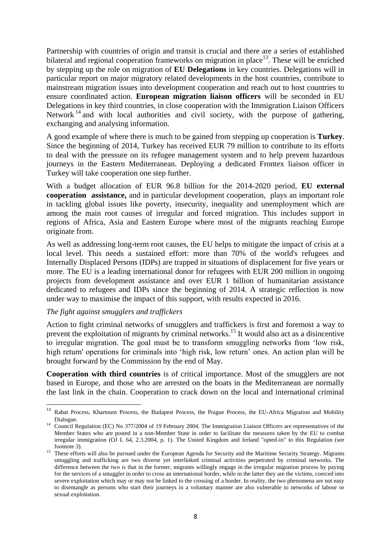Partnership with countries of origin and transit is crucial and there are a series of established bilateral and regional cooperation frameworks on migration in place<sup>13</sup>. These will be enriched by stepping up the role on migration of **EU Delegations** in key countries. Delegations will in particular report on major migratory related developments in the host countries, contribute to mainstream migration issues into development cooperation and reach out to host countries to ensure coordinated action. **European migration liaison officers** will be seconded in EU Delegations in key third countries, in close cooperation with the Immigration Liaison Officers Network  $14$  and with local authorities and civil society, with the purpose of gathering, exchanging and analysing information.

A good example of where there is much to be gained from stepping up cooperation is **Turkey**. Since the beginning of 2014, Turkey has received EUR 79 million to contribute to its efforts to deal with the pressure on its refugee management system and to help prevent hazardous journeys in the Eastern Mediterranean. Deploying a dedicated Frontex liaison officer in Turkey will take cooperation one step further.

With a budget allocation of EUR 96.8 billion for the 2014-2020 period, **EU external cooperation assistance,** and in particular development cooperation, plays an important role in tackling global issues like poverty, insecurity, inequality and unemployment which are among the main root causes of irregular and forced migration. This includes support in regions of Africa, Asia and Eastern Europe where most of the migrants reaching Europe originate from.

As well as addressing long-term root causes, the EU helps to mitigate the impact of crisis at a local level. This needs a sustained effort: more than 70% of the world's refugees and Internally Displaced Persons (IDPs) are trapped in situations of displacement for five years or more. The EU is a leading international donor for refugees with EUR 200 million in ongoing projects from development assistance and over EUR 1 billion of humanitarian assistance dedicated to refugees and IDPs since the beginning of 2014. A strategic reflection is now under way to maximise the impact of this support, with results expected in 2016.

### *The fight against smugglers and traffickers*

**.** 

Action to fight criminal networks of smugglers and traffickers is first and foremost a way to prevent the exploitation of migrants by criminal networks.<sup>15</sup> It would also act as a disincentive to irregular migration. The goal must be to transform smuggling networks from 'low risk, high return' operations for criminals into 'high risk, low return' ones. An action plan will be brought forward by the Commission by the end of May.

**Cooperation with third countries** is of critical importance. Most of the smugglers are not based in Europe, and those who are arrested on the boats in the Mediterranean are normally the last link in the chain. Cooperation to crack down on the local and international criminal

<sup>&</sup>lt;sup>13</sup> Rabat Process, Khartoum Process, the Budapest Process, the Prague Process, the EU-Africa Migration and Mobility Dialogue.

<sup>&</sup>lt;sup>14</sup> Council Regulation (EC) No [377/2004](http://eur-lex.europa.eu/LexUriServ/LexUriServ.do?uri=CELEX:32004R0377:EN:NOT) of 19 February 2004. The Immigration Liaison Officers are representatives of the Member States who are posted in a non-Member State in order to facilitate the measures taken by the EU to combat irregular immigration (OJ L 64, 2.3.2004, p. 1). The United Kingdom and Ireland "opted-in" to this Regulation (see footnote 3).

<sup>&</sup>lt;sup>15</sup> These efforts will also be pursued under the European Agenda for Security and the Maritime Security Strategy. Migrants smuggling and trafficking are two diverse yet interlinked criminal activities perpetrated by criminal networks. The difference between the two is that in the former, migrants willingly engage in the irregular migration process by paying for the services of a smuggler in order to cross an international border, while in the latter they are the victims, coerced into severe exploitation which may or may not be linked to the crossing of a border. In reality, the two phenomena are not easy to disentangle as persons who start their journeys in a voluntary manner are also vulnerable to networks of labour or sexual exploitation.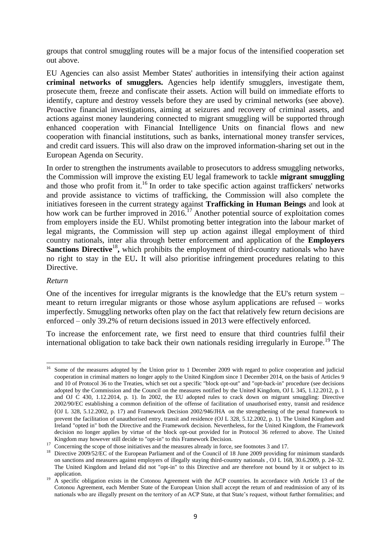groups that control smuggling routes will be a major focus of the intensified cooperation set out above.

EU Agencies can also assist Member States' authorities in intensifying their action against **criminal networks of smugglers.** Agencies help identify smugglers, investigate them, prosecute them, freeze and confiscate their assets. Action will build on immediate efforts to identify, capture and destroy vessels before they are used by criminal networks (see above). Proactive financial investigations, aiming at seizures and recovery of criminal assets, and actions against money laundering connected to migrant smuggling will be supported through enhanced cooperation with Financial Intelligence Units on financial flows and new cooperation with financial institutions, such as banks, international money transfer services, and credit card issuers. This will also draw on the improved information-sharing set out in the European Agenda on Security.

In order to strengthen the instruments available to prosecutors to address smuggling networks, the Commission will improve the existing EU legal framework to tackle **migrant smuggling**  and those who profit from it.<sup>16</sup> In order to take specific action against traffickers' networks and provide assistance to victims of trafficking, the Commission will also complete the initiatives foreseen in the current strategy against **Trafficking in Human Beings** and look at how work can be further improved in  $2016$ .<sup>17</sup> Another potential source of exploitation comes from employers inside the EU. Whilst promoting better integration into the labour market of legal migrants, the Commission will step up action against illegal employment of third country nationals, inter alia through better enforcement and application of the **Employers Sanctions Directive<sup>18</sup>**, which prohibits the employment of third-country nationals who have no right to stay in the EU**.** It will also prioritise infringement procedures relating to this Directive.

### *Return*

One of the incentives for irregular migrants is the knowledge that the EU's return system – meant to return irregular migrants or those whose asylum applications are refused – works imperfectly. Smuggling networks often play on the fact that relatively few return decisions are enforced – only 39.2% of return decisions issued in 2013 were effectively enforced.

To increase the enforcement rate, we first need to ensure that third countries fulfil their international obligation to take back their own nationals residing irregularly in Europe.<sup>19</sup> The

<sup>1</sup> <sup>16</sup> Some of the measures adopted by the Union prior to 1 December 2009 with regard to police cooperation and judicial cooperation in criminal matters no longer apply to the United Kingdom since 1 December 2014, on the basis of Articles 9 and 10 of Protocol 36 to the Treaties, which set out a specific "block opt-out" and "opt-back-in" procedure (see decisions adopted by the Commission and the Council on the measures notified by the United Kingdom, OJ L 345, 1.12.2012, p. 1 and OJ C 430, 1.12.2014, p. 1). In 2002, the EU adopted rules to crack down on migrant smuggling: Directive 2002/90/EC establishing a common definition of the offense of facilitation of unauthorised entry, transit and residence (OJ L 328, 5.12.2002, p. 17) and Framework Decision 2002/946/JHA on the strengthening of the penal framework to prevent the facilitation of unauthorised entry, transit and residence (OJ L 328, 5.12.2002, p. 1). The United Kingdom and Ireland "opted in" both the Directive and the Framework decision. Nevertheless, for the United Kingdom, the Framework decision no longer applies by virtue of the block opt-out provided for in Protocol 36 referred to above. The United Kingdom may however still decide to "opt-in" to this Framework Decision.

<sup>&</sup>lt;sup>17</sup> Concerning the scope of those initiatives and the measures already in force, see footnotes 3 and 17.

<sup>&</sup>lt;sup>18</sup> Directive 2009/52/EC of the European Parliament and of the Council of 18 June 2009 providing for minimum standards on sanctions and measures against employers of illegally staying third-country nationals , OJ L 168, 30.6.2009, p. 24–32. The United Kingdom and Ireland did not "opt-in" to this Directive and are therefore not bound by it or subject to its application.

<sup>&</sup>lt;sup>19</sup> A specific obligation exists in the Cotonou Agreement with the ACP countries. In accordance with Article 13 of the Cotonou Agreement, each Member State of the European Union shall accept the return of and readmission of any of its nationals who are illegally present on the territory of an ACP State, at that State's request, without further formalities; and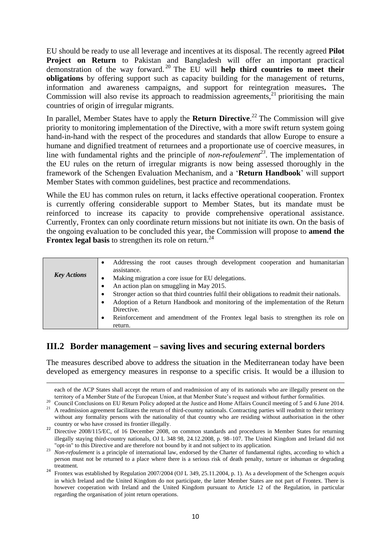EU should be ready to use all leverage and incentives at its disposal. The recently agreed **Pilot Project on Return** to Pakistan and Bangladesh will offer an important practical demonstration of the way forward. <sup>20</sup> The EU will **help third countries to meet their obligations** by offering support such as capacity building for the management of returns, information and awareness campaigns, and support for reintegration measures**.** The Commission will also revise its approach to readmission agreements, $2<sup>1</sup>$  prioritising the main countries of origin of irregular migrants.

In parallel, Member States have to apply the **Return Directive**. <sup>22</sup> The Commission will give priority to monitoring implementation of the Directive, with a more swift return system going hand-in-hand with the respect of the procedures and standards that allow Europe to ensure a humane and dignified treatment of returnees and a proportionate use of coercive measures, in line with fundamental rights and the principle of *non-refoulement<sup>23</sup>*. The implementation of the EU rules on the return of irregular migrants is now being assessed thoroughly in the framework of the Schengen Evaluation Mechanism, and a '**Return Handbook**' will support Member States with common guidelines, best practice and recommendations.

While the EU has common rules on return, it lacks effective operational cooperation. Frontex is currently offering considerable support to Member States, but its mandate must be reinforced to increase its capacity to provide comprehensive operational assistance. Currently, Frontex can only coordinate return missions but not initiate its own. On the basis of the ongoing evaluation to be concluded this year, the Commission will propose to **amend the Frontex legal basis** to strengthen its role on return.<sup>24</sup>

|                    | Addressing the root causes through development cooperation and humanitarian<br>٠                  |
|--------------------|---------------------------------------------------------------------------------------------------|
|                    | assistance.                                                                                       |
| <b>Key Actions</b> | Making migration a core issue for EU delegations.                                                 |
|                    | An action plan on smuggling in May 2015.<br>٠                                                     |
|                    | Stronger action so that third countries fulfil their obligations to readmit their nationals.<br>٠ |
|                    | Adoption of a Return Handbook and monitoring of the implementation of the Return<br>٠             |
|                    | Directive.                                                                                        |
|                    | Reinforcement and amendment of the Frontex legal basis to strengthen its role on<br>٠             |
|                    | return.                                                                                           |

# **III.2 Border management – saving lives and securing external borders**

1

The measures described above to address the situation in the Mediterranean today have been developed as emergency measures in response to a specific crisis. It would be a illusion to

each of the ACP States shall accept the return of and readmission of any of its nationals who are illegally present on the territory of a Member State of the European Union, at that Member State's request and without further formalities.

<sup>&</sup>lt;sup>20</sup> Council Conclusions on EU Return Policy adopted at the Justice and Home Affairs Council meeting of 5 and 6 June 2014.

<sup>&</sup>lt;sup>21</sup> A readmission agreement facilitates the return of third-country nationals. Contracting parties will readmit to their territory without any formality persons with the nationality of that country who are residing without authorisation in the other country or who have crossed its frontier illegally.

<sup>&</sup>lt;sup>22</sup> Directive 2008/115/EC, of 16 December 2008, on common standards and procedures in Member States for returning illegally staying third-country nationals, OJ L 348 98, 24.12.2008, p. 98–107. The United Kingdom and Ireland did not "opt-in" to this Directive and are therefore not bound by it and not subject to its application.

<sup>&</sup>lt;sup>23</sup> *Non-refoulement* is a principle of international law, endorsed by the Charter of fundamental rights, according to which a person must not be returned to a place where there is a serious risk of death penalty, torture or inhuman or degrading treatment.

<sup>24</sup> Frontex was established by Regulation 2007/2004 (OJ L 349, 25.11.2004, p. 1). As a development of the Schengen *acquis* in which Ireland and the United Kingdom do not participate, the latter Member States are not part of Frontex. There is however cooperation with Ireland and the United Kingdom pursuant to Article 12 of the Regulation, in particular regarding the organisation of joint return operations.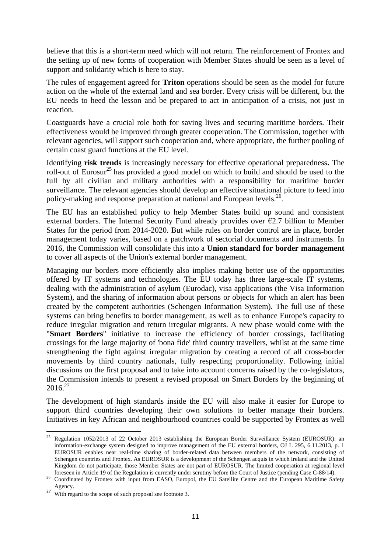believe that this is a short-term need which will not return. The reinforcement of Frontex and the setting up of new forms of cooperation with Member States should be seen as a level of support and solidarity which is here to stay.

The rules of engagement agreed for **Triton** operations should be seen as the model for future action on the whole of the external land and sea border. Every crisis will be different, but the EU needs to heed the lesson and be prepared to act in anticipation of a crisis, not just in reaction.

Coastguards have a crucial role both for saving lives and securing maritime borders. Their effectiveness would be improved through greater cooperation. The Commission, together with relevant agencies, will support such cooperation and, where appropriate, the further pooling of certain coast guard functions at the EU level.

Identifying **risk trends** is increasingly necessary for effective operational preparedness**.** The roll-out of Eurosur<sup>25</sup> has provided a good model on which to build and should be used to the full by all civilian and military authorities with a responsibility for maritime border surveillance. The relevant agencies should develop an effective situational picture to feed into policy-making and response preparation at national and European levels.<sup>26</sup>.

The EU has an established policy to help Member States build up sound and consistent external borders. The Internal Security Fund already provides over  $\epsilon$ 2.7 billion to Member States for the period from 2014-2020. But while rules on border control are in place, border management today varies, based on a patchwork of sectorial documents and instruments. In 2016, the Commission will consolidate this into a **Union standard for border management** to cover all aspects of the Union's external border management.

Managing our borders more efficiently also implies making better use of the opportunities offered by IT systems and technologies. The EU today has three large-scale IT systems, dealing with the administration of asylum (Eurodac), visa applications (the Visa Information System), and the sharing of information about persons or objects for which an alert has been created by the competent authorities (Schengen Information System). The full use of these systems can bring benefits to border management, as well as to enhance Europe's capacity to reduce irregular migration and return irregular migrants. A new phase would come with the "**Smart Borders**" initiative to increase the efficiency of border crossings, facilitating crossings for the large majority of 'bona fide' third country travellers, whilst at the same time strengthening the fight against irregular migration by creating a record of all cross-border movements by third country nationals, fully respecting proportionality. Following initial discussions on the first proposal and to take into account concerns raised by the co-legislators, the Commission intends to present a revised proposal on Smart Borders by the beginning of  $2016^{27}$ 

The development of high standards inside the EU will also make it easier for Europe to support third countries developing their own solutions to better manage their borders. Initiatives in key African and neighbourhood countries could be supported by Frontex as well

<sup>1</sup> <sup>25</sup> Regulation 1052/2013 of 22 October 2013 establishing the European Border Surveillance System (EUROSUR): an information-exchange system designed to improve management of the EU external borders, OJ L 295, 6.11.2013, p. 1 EUROSUR enables near real-time sharing of border-related data between members of the network, consisting of Schengen countries and Frontex. As EUROSUR is a development of the Schengen acquis in which Ireland and the United Kingdom do not participate, those Member States are not part of EUROSUR. The limited cooperation at regional level foreseen in Article 19 of the Regulation is currently under scrutiny before the Court of Justice (pending Case C-88/14).

<sup>&</sup>lt;sup>26</sup> Coordinated by Frontex with input from EASO, Europol, the EU Satellite Centre and the European Maritime Safety Agency.

<sup>&</sup>lt;sup>27</sup> With regard to the scope of such proposal see footnote 3.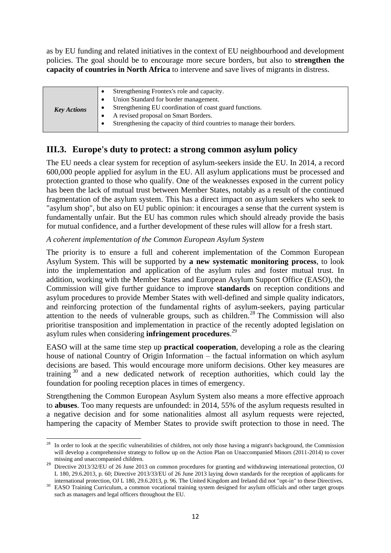as by EU funding and related initiatives in the context of EU neighbourhood and development policies. The goal should be to encourage more secure borders, but also to **strengthen the capacity of countries in North Africa** to intervene and save lives of migrants in distress.

| <b>Key Actions</b><br>A revised proposal on Smart Borders. | Strengthening Frontex's role and capacity.                             |
|------------------------------------------------------------|------------------------------------------------------------------------|
|                                                            | Union Standard for border management.                                  |
|                                                            | Strengthening EU coordination of coast guard functions.                |
|                                                            |                                                                        |
|                                                            | Strengthening the capacity of third countries to manage their borders. |
|                                                            |                                                                        |

# **III.3. Europe's duty to protect: a strong common asylum policy**

The EU needs a clear system for reception of asylum-seekers inside the EU. In 2014, a record 600,000 people applied for asylum in the EU. All asylum applications must be processed and protection granted to those who qualify. One of the weaknesses exposed in the current policy has been the lack of mutual trust between Member States, notably as a result of the continued fragmentation of the asylum system. This has a direct impact on asylum seekers who seek to "asylum shop", but also on EU public opinion: it encourages a sense that the current system is fundamentally unfair. But the EU has common rules which should already provide the basis for mutual confidence, and a further development of these rules will allow for a fresh start.

### *A coherent implementation of the Common European Asylum System*

The priority is to ensure a full and coherent implementation of the Common European Asylum System. This will be supported by **a new systematic monitoring process**, to look into the implementation and application of the asylum rules and foster mutual trust. In addition, working with the Member States and European Asylum Support Office (EASO), the Commission will give further guidance to improve **standards** on reception conditions and asylum procedures to provide Member States with well-defined and simple quality indicators, and reinforcing protection of the fundamental rights of asylum-seekers, paying particular attention to the needs of vulnerable groups, such as children.<sup>28</sup> The Commission will also prioritise transposition and implementation in practice of the recently adopted legislation on asylum rules when considering **infringement procedures**. 29

EASO will at the same time step up **practical cooperation**, developing a role as the clearing house of national Country of Origin Information – the factual information on which asylum decisions are based. This would encourage more uniform decisions. Other key measures are training <sup>30</sup> and a new dedicated network of reception authorities, which could lay the foundation for pooling reception places in times of emergency.

Strengthening the Common European Asylum System also means a more effective approach to **abuses**. Too many requests are unfounded: in 2014, 55% of the asylum requests resulted in a negative decision and for some nationalities almost all asylum requests were rejected, hampering the capacity of Member States to provide swift protection to those in need. The

<sup>28</sup> <sup>28</sup> In order to look at the specific vulnerabilities of children, not only those having a migrant's background, the Commission will develop a comprehensive strategy to follow up on the Action Plan on Unaccompanied Minors (2011-2014) to cover missing and unaccompanied children.

<sup>&</sup>lt;sup>29</sup> Directive 2013/32/EU of 26 June 2013 on common procedures for granting and withdrawing international protection, OJ L 180, 29.6.2013, p. 60; Directive 2013/33/EU of 26 June 2013 laying down standards for the reception of applicants for international protection, OJ L 180, 29.6.2013, p. 96. The United Kingdom and Ireland did not "opt-in" to these Directives.

<sup>&</sup>lt;sup>30</sup> EASO Training Curriculum, a common vocational training system designed for asylum officials and other target groups such as managers and legal officers throughout the EU.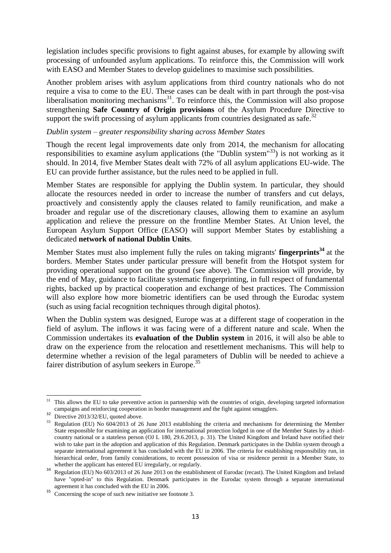legislation includes specific provisions to fight against abuses, for example by allowing swift processing of unfounded asylum applications. To reinforce this, the Commission will work with EASO and Member States to develop guidelines to maximise such possibilities.

Another problem arises with asylum applications from third country nationals who do not require a visa to come to the EU. These cases can be dealt with in part through the post-visa  $l$  liberalisation monitoring mechanisms $l$ <sup>31</sup>. To reinforce this, the Commission will also propose strengthening **Safe Country of Origin provisions** of the Asylum Procedure Directive to support the swift processing of asylum applicants from countries designated as safe.<sup>32</sup>

### *Dublin system – greater responsibility sharing across Member States*

Though the recent legal improvements date only from 2014, the mechanism for allocating responsibilities to examine asylum applications (the "Dublin system"<sup>33</sup>) is not working as it should. In 2014, five Member States dealt with 72% of all asylum applications EU-wide. The EU can provide further assistance, but the rules need to be applied in full.

Member States are responsible for applying the Dublin system. In particular, they should allocate the resources needed in order to increase the number of transfers and cut delays, proactively and consistently apply the clauses related to family reunification, and make a broader and regular use of the discretionary clauses, allowing them to examine an asylum application and relieve the pressure on the frontline Member States. At Union level, the European Asylum Support Office (EASO) will support Member States by establishing a dedicated **network of national Dublin Units**.

Member States must also implement fully the rules on taking migrants' **fingerprints<sup>34</sup>** at the borders. Member States under particular pressure will benefit from the Hotspot system for providing operational support on the ground (see above). The Commission will provide, by the end of May, guidance to facilitate systematic fingerprinting, in full respect of fundamental rights, backed up by practical cooperation and exchange of best practices. The Commission will also explore how more biometric identifiers can be used through the Eurodac system (such as using facial recognition techniques through digital photos).

When the Dublin system was designed, Europe was at a different stage of cooperation in the field of asylum. The inflows it was facing were of a different nature and scale. When the Commission undertakes its **evaluation of the Dublin system** in 2016, it will also be able to draw on the experience from the relocation and resettlement mechanisms. This will help to determine whether a revision of the legal parameters of Dublin will be needed to achieve a fairer distribution of asylum seekers in Europe.<sup>35</sup>

**<sup>.</sup>** <sup>31</sup> This allows the EU to take preventive action in partnership with the countries of origin, developing targeted information campaigns and reinforcing cooperation in border management and the fight against smugglers.

<sup>&</sup>lt;sup>32</sup> Directive 2013/32/EU, quoted above.

<sup>&</sup>lt;sup>33</sup> Regulation (EU) No 604/2013 of 26 June 2013 establishing the criteria and mechanisms for determining the Member State responsible for examining an application for international protection lodged in one of the Member States by a thirdcountry national or a stateless person (OJ L 180, 29.6.2013, p. 31). The United Kingdom and Ireland have notified their wish to take part in the adoption and application of this Regulation. Denmark participates in the Dublin system through a separate international agreement it has concluded with the EU in 2006. The criteria for establishing responsibility run, in hierarchical order, from family considerations, to recent possession of visa or residence permit in a Member State, to whether the applicant has entered EU irregularly, or regularly.

<sup>&</sup>lt;sup>34</sup> Regulation (EU) No 603/2013 of 26 June 2013 on the establishment of Eurodac (recast). The United Kingdom and Ireland have "opted-in" to this Regulation. Denmark participates in the Eurodac system through a separate international agreement it has concluded with the EU in 2006.

<sup>&</sup>lt;sup>35</sup> Concerning the scope of such new initiative see footnote 3.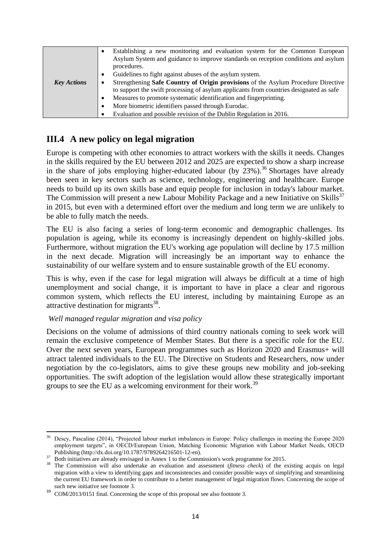|                    | Establishing a new monitoring and evaluation system for the Common European<br>$\bullet$<br>Asylum System and guidance to improve standards on reception conditions and asylum |
|--------------------|--------------------------------------------------------------------------------------------------------------------------------------------------------------------------------|
|                    | procedures.                                                                                                                                                                    |
|                    | Guidelines to fight against abuses of the asylum system.<br>٠                                                                                                                  |
| <b>Key Actions</b> | Strengthening Safe Country of Origin provisions of the Asylum Procedure Directive<br>٠                                                                                         |
|                    | to support the swift processing of asylum applicants from countries designated as safe                                                                                         |
|                    | Measures to promote systematic identification and fingerprinting.<br>$\bullet$                                                                                                 |
|                    | More biometric identifiers passed through Eurodac.<br>$\bullet$                                                                                                                |
|                    | Evaluation and possible revision of the Dublin Regulation in 2016.<br>٠                                                                                                        |

# **III.4 A new policy on legal migration**

Europe is competing with other economies to attract workers with the skills it needs. Changes in the skills required by the EU between 2012 and 2025 are expected to show a sharp increase in the share of jobs employing higher-educated labour (by  $23\%$ ).<sup>36</sup> Shortages have already been seen in key sectors such as science, technology, engineering and healthcare. Europe needs to build up its own skills base and equip people for inclusion in today's labour market. The Commission will present a new Labour Mobility Package and a new Initiative on Skills<sup>37</sup> in 2015, but even with a determined effort over the medium and long term we are unlikely to be able to fully match the needs.

The EU is also facing a series of long-term economic and demographic challenges. Its population is ageing, while its economy is increasingly dependent on highly-skilled jobs. Furthermore, without migration the EU's working age population will decline by 17.5 million in the next decade. Migration will increasingly be an important way to enhance the sustainability of our welfare system and to ensure sustainable growth of the EU economy.

This is why, even if the case for legal migration will always be difficult at a time of high unemployment and social change, it is important to have in place a clear and rigorous common system, which reflects the EU interest, including by maintaining Europe as an attractive destination for migrants<sup>38</sup>.

### *Well managed regular migration and visa policy*

Decisions on the volume of admissions of third country nationals coming to seek work will remain the exclusive competence of Member States. But there is a specific role for the EU. Over the next seven years, European programmes such as Horizon 2020 and Erasmus+ will attract talented individuals to the EU. The Directive on Students and Researchers, now under negotiation by the co-legislators, aims to give these groups new mobility and job-seeking opportunities. The swift adoption of the legislation would allow these strategically important groups to see the EU as a welcoming environment for their work.<sup>39</sup>

<sup>1</sup> <sup>36</sup> Descy, Pascaline (2014), "Projected labour market imbalances in Europe: Policy challenges in meeting the Europe 2020 employment targets", in OECD/European Union, Matching Economic Migration with Labour Market Needs, OECD Publishing [\(http://dx.doi.org/10.1787/9789264216501-12-en\)](http://dx.doi.org/10.1787/9789264216501-12-en).

<sup>&</sup>lt;sup>37</sup> Both initiatives are already envisaged in Annex 1 to the Commission's work programme for 2015.

<sup>&</sup>lt;sup>38</sup> The Commission will also undertake an evaluation and assessment (*fitness check*) of the existing acquis on legal migration with a view to identifying gaps and inconsistencies and consider possible ways of simplifying and streamlining the current EU framework in order to contribute to a better management of legal migration flows. Concerning the scope of such new initiative see footnote 3.

<sup>&</sup>lt;sup>39</sup> COM/2013/0151 final. Concerning the scope of this proposal see also footnote 3.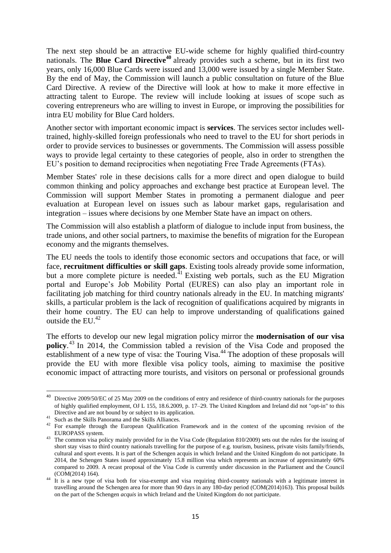The next step should be an attractive EU-wide scheme for highly qualified third-country nationals. The **Blue Card Directive<sup>40</sup>** already provides such a scheme, but in its first two years, only 16,000 Blue Cards were issued and 13,000 were issued by a single Member State. By the end of May, the Commission will launch a public consultation on future of the Blue Card Directive. A review of the Directive will look at how to make it more effective in attracting talent to Europe. The review will include looking at issues of scope such as covering entrepreneurs who are willing to invest in Europe, or improving the possibilities for intra EU mobility for Blue Card holders.

Another sector with important economic impact is **services**. The services sector includes welltrained, highly-skilled foreign professionals who need to travel to the EU for short periods in order to provide services to businesses or governments. The Commission will assess possible ways to provide legal certainty to these categories of people, also in order to strengthen the EU's position to demand reciprocities when negotiating Free Trade Agreements (FTAs).

Member States' role in these decisions calls for a more direct and open dialogue to build common thinking and policy approaches and exchange best practice at European level. The Commission will support Member States in promoting a permanent dialogue and peer evaluation at European level on issues such as labour market gaps, regularisation and integration – issues where decisions by one Member State have an impact on others.

The Commission will also establish a platform of dialogue to include input from business, the trade unions, and other social partners, to maximise the benefits of migration for the European economy and the migrants themselves.

The EU needs the tools to identify those economic sectors and occupations that face, or will face, **recruitment difficulties or skill gaps**. Existing tools already provide some information, but a more complete picture is needed. $^{41}$  Existing web portals, such as the EU Migration portal and Europe's Job Mobility Portal (EURES) can also play an important role in facilitating job matching for third country nationals already in the EU. In matching migrants' skills, a particular problem is the lack of recognition of qualifications acquired by migrants in their home country. The EU can help to improve understanding of qualifications gained outside the EU.<sup>42</sup>

The efforts to develop our new legal migration policy mirror the **modernisation of our visa policy**. <sup>43</sup> In 2014, the Commission tabled a revision of the Visa Code and proposed the establishment of a new type of visa: the Touring Visa.<sup>44</sup> The adoption of these proposals will provide the EU with more flexible visa policy tools, aiming to maximise the positive economic impact of attracting more tourists, and visitors on personal or professional grounds

**.** 

Directive 2009/50/EC of 25 May 2009 on the conditions of entry and residence of third-country nationals for the purposes of highly qualified employment, OJ L 155, 18.6.2009, p. 17–29. The United Kingdom and Ireland did not "opt-in" to this Directive and are not bound by or subject to its application.

<sup>&</sup>lt;sup>41</sup> Such as the Skills Panorama and the Skills Alliances.

<sup>&</sup>lt;sup>42</sup> For example through the European Qualification Framework and in the context of the upcoming revision of the EUROPASS system.

<sup>&</sup>lt;sup>43</sup> The common visa policy mainly provided for in the Visa Code (Regulation 810/2009) sets out the rules for the issuing of short stay visas to third country nationals travelling for the purpose of e.g. tourism, business, private visits family/friends, cultural and sport events. It is part of the Schengen acquis in which Ireland and the United Kingdom do not participate. In 2014, the Schengen States issued approximately 15.8 million visa which represents an increase of approximately 60% compared to 2009. A recast proposal of the Visa Code is currently under discussion in the Parliament and the Council (COM(2014) 164).

<sup>44</sup> It is a new type of visa both for visa-exempt and visa requiring third-country nationals with a legitimate interest in travelling around the Schengen area for more than 90 days in any 180-day period (COM(2014)163). This proposal builds on the part of the Schengen *acquis* in which Ireland and the United Kingdom do not participate.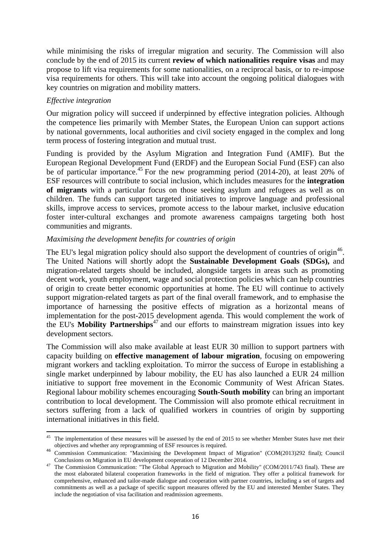while minimising the risks of irregular migration and security. The Commission will also conclude by the end of 2015 its current **review of which nationalities require visas** and may propose to lift visa requirements for some nationalities, on a reciprocal basis, or to re-impose visa requirements for others. This will take into account the ongoing political dialogues with key countries on migration and mobility matters.

### *Effective integration*

1

Our migration policy will succeed if underpinned by effective integration policies. Although the competence lies primarily with Member States, the European Union can support actions by national governments, local authorities and civil society engaged in the complex and long term process of fostering integration and mutual trust.

Funding is provided by the Asylum Migration and Integration Fund (AMIF). But the European Regional Development Fund (ERDF) and the European Social Fund (ESF) can also be of particular importance.<sup>45</sup> For the new programming period (2014-20), at least 20% of ESF resources will contribute to social inclusion, which includes measures for the **integration of migrants** with a particular focus on those seeking asylum and refugees as well as on children. The funds can support targeted initiatives to improve language and professional skills, improve access to services, promote access to the labour market, inclusive education foster inter-cultural exchanges and promote awareness campaigns targeting both host communities and migrants.

### *Maximising the development benefits for countries of origin*

The EU's legal migration policy should also support the development of countries of origin<sup>46</sup>. The United Nations will shortly adopt the **Sustainable Development Goals (SDGs),** and migration-related targets should be included, alongside targets in areas such as promoting decent work, youth employment, wage and social protection policies which can help countries of origin to create better economic opportunities at home. The EU will continue to actively support migration-related targets as part of the final overall framework, and to emphasise the importance of harnessing the positive effects of migration as a horizontal means of implementation for the post-2015 development agenda. This would complement the work of the EU's **Mobility Partnerships**<sup>47</sup> and our efforts to mainstream migration issues into key development sectors.

The Commission will also make available at least EUR 30 million to support partners with capacity building on **effective management of labour migration**, focusing on empowering migrant workers and tackling exploitation. To mirror the success of Europe in establishing a single market underpinned by labour mobility, the EU has also launched a EUR 24 million initiative to support free movement in the Economic Community of West African States. Regional labour mobility schemes encouraging **South-South mobility** can bring an important contribution to local development. The Commission will also promote ethical recruitment in sectors suffering from a lack of qualified workers in countries of origin by supporting international initiatives in this field.

 $45$  The implementation of these measures will be assessed by the end of 2015 to see whether Member States have met their objectives and whether any reprogramming of ESF resources is required.

<sup>&</sup>lt;sup>46</sup> Commission Communication: "Maximising the Development Impact of Migration" (COM(2013)292 final); Council Conclusions on Migration in EU development cooperation of 12 December 2014.

<sup>&</sup>lt;sup>47</sup> The Commission Communication: "The Global Approach to Migration and Mobility" (COM/2011/743 final). These are the most elaborated bilateral cooperation frameworks in the field of migration. They offer a political framework for comprehensive, enhanced and tailor-made dialogue and cooperation with partner countries, including a set of targets and commitments as well as a package of specific support measures offered by the EU and interested Member States. They include the negotiation of visa facilitation and readmission agreements.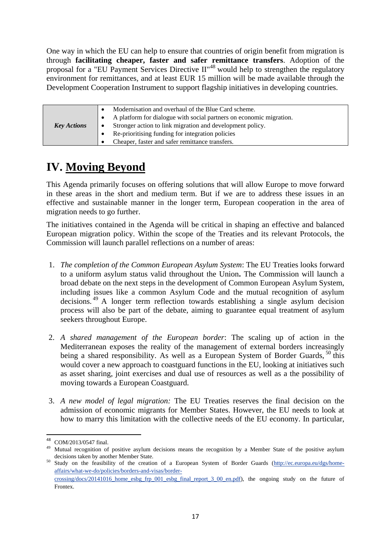One way in which the EU can help to ensure that countries of origin benefit from migration is through **facilitating cheaper, faster and safer remittance transfers**. Adoption of the proposal for a "EU Payment Services Directive  $II^{\prime\prime\prime\prime}$  would help to strengthen the regulatory environment for remittances, and at least EUR 15 million will be made available through the Development Cooperation Instrument to support flagship initiatives in developing countries.

| Modernisation and overhaul of the Blue Card scheme.<br>A platform for dialogue with social partners on economic migration.<br>Stronger action to link migration and development policy.<br><b>Key Actions</b><br>Re-prioritising funding for integration policies<br>Cheaper, faster and safer remittance transfers. |  |
|----------------------------------------------------------------------------------------------------------------------------------------------------------------------------------------------------------------------------------------------------------------------------------------------------------------------|--|
|----------------------------------------------------------------------------------------------------------------------------------------------------------------------------------------------------------------------------------------------------------------------------------------------------------------------|--|

# **IV. Moving Beyond**

This Agenda primarily focuses on offering solutions that will allow Europe to move forward in these areas in the short and medium term. But if we are to address these issues in an effective and sustainable manner in the longer term, European cooperation in the area of migration needs to go further.

The initiatives contained in the Agenda will be critical in shaping an effective and balanced European migration policy. Within the scope of the Treaties and its relevant Protocols, the Commission will launch parallel reflections on a number of areas:

- 1. *The completion of the Common European Asylum System*: The EU Treaties looks forward to a uniform asylum status valid throughout the Union**.** The Commission will launch a broad debate on the next steps in the development of Common European Asylum System, including issues like a common Asylum Code and the mutual recognition of asylum decisions. <sup>49</sup> A longer term reflection towards establishing a single asylum decision process will also be part of the debate, aiming to guarantee equal treatment of asylum seekers throughout Europe.
- 2. *A shared management of the European border*: The scaling up of action in the Mediterranean exposes the reality of the management of external borders increasingly being a shared responsibility. As well as a European System of Border Guards, <sup>50</sup> this would cover a new approach to coastguard functions in the EU, looking at initiatives such as asset sharing, joint exercises and dual use of resources as well as a the possibility of moving towards a European Coastguard.
- 3. *A new model of legal migration:* The EU Treaties reserves the final decision on the admission of economic migrants for Member States. However, the EU needs to look at how to marry this limitation with the collective needs of the EU economy. In particular,

1

COM/2013/0547 final.

<sup>&</sup>lt;sup>49</sup> Mutual recognition of positive asylum decisions means the recognition by a Member State of the positive asylum decisions taken by another Member State.

Study on the feasibility of the creation of a European System of Border Guards [\(http://ec.europa.eu/dgs/home](http://ec.europa.eu/dgs/home-affairs/what-we-do/policies/borders-and-visas/border-crossing/docs/20141016_home_esbg_frp_001_esbg_final_report_3_00_en.pdf)[affairs/what-we-do/policies/borders-and-visas/border](http://ec.europa.eu/dgs/home-affairs/what-we-do/policies/borders-and-visas/border-crossing/docs/20141016_home_esbg_frp_001_esbg_final_report_3_00_en.pdf)[crossing/docs/20141016\\_home\\_esbg\\_frp\\_001\\_esbg\\_final\\_report\\_3\\_00\\_en.pdf\)](http://ec.europa.eu/dgs/home-affairs/what-we-do/policies/borders-and-visas/border-crossing/docs/20141016_home_esbg_frp_001_esbg_final_report_3_00_en.pdf), the ongoing study on the future of Frontex.